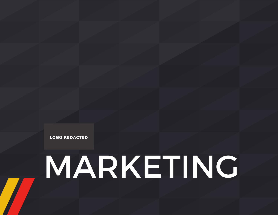**LOGO REDACTED**

# MARKETING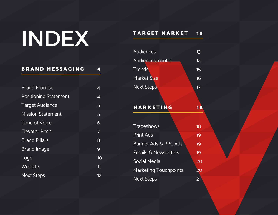# INDEX

### BRAND MESSAGING 4

| <b>Brand Promise</b>         | 4  |
|------------------------------|----|
| <b>Positioning Statement</b> | 4  |
| <b>Target Audience</b>       | 5  |
| <b>Mission Statement</b>     | 5  |
| <b>Tone of Voice</b>         | 6  |
| <b>Elevator Pitch</b>        | 7  |
| <b>Brand Pillars</b>         | 8  |
| <b>Brand Image</b>           | 9  |
| Logo                         | 10 |
| Website                      | 11 |
| <b>Next Steps</b>            | 12 |

### TARGET MARKET 13

| Audiences         | 13 |
|-------------------|----|
| Audiences, cont'd | 14 |
| <b>Trends</b>     | 15 |
| Market Size       | 16 |
| <b>Next Steps</b> | 17 |

### MARKETING 18

| <b>Tradeshows</b>               | 18 |
|---------------------------------|----|
| <b>Print Ads</b>                | 19 |
| <b>Banner Ads &amp; PPC Ads</b> | 19 |
| <b>Emails &amp; Newsletters</b> | 19 |
| Social Media                    | 20 |
| <b>Marketing Touchpoints</b>    | 20 |
| <b>Next Steps</b>               | 21 |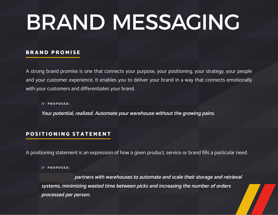# BRAND MESSAGING

#### BRAND PROMISE

A strong brand promise is one that connects your purpose, your positioning, your strategy, your people and your customer experience. It enables you to deliver your brand in a way that connects emotionally with your customers and differentiates your brand.

// PROPOSED:

**Your potential, realized. Automate your warehouse without the growing pains.**

#### POSITIONING STATEMENT

A positioning statement is an expression of how a given product, service or brand fills a particular need.

// PROPOSED:

**Dartners with warehouses to automate and scale their storage and retrieval systems, minimizing wasted time between picks and increasing the number of orders processed per person.**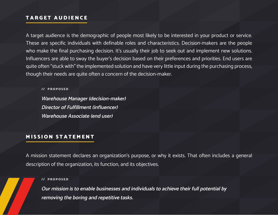#### TARGET AUDIENCE

A target audience is the demographic of people most likely to be interested in your product or service. These are specific individuals with definable roles and characteristics. Decision-makers are the people who make the final purchasing decision. It's usually their job to seek out and implement new solutions. Influencers are able to sway the buyer's decision based on their preferences and priorities. End users are quite often "stuck with" the implemented solution and have very little input during the purchasing process, though their needs are quite often a concern of the decision-maker.

// PROPOSED

**Warehouse Manager (decision-maker) Director of Fulfillment (influencer) Warehouse Associate (end user)**

#### MISSION STATEMENT

A mission statement declares an organization's purpose, or why it exists. That often includes a general description of the organization, its function, and its objectives.

#### // PROPOSED

**Our mission is to enable businesses and individuals to achieve their full potential by removing the boring and repetitive tasks.**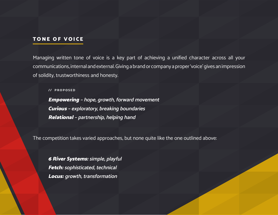#### TONE OF VOICE

Managing written tone of voice is a key part of achieving a unified character across all your communications, internal and external. Giving a brand or company a proper 'voice' gives an impression of solidity, trustworthiness and honesty.

// PROPOSED

Empowering **– hope, growth, forward movement** Curious **– exploratory, breaking boundaries** Relational **– partnership, helping hand**

The competition takes varied approaches, but none quite like the one outlined above:

6 River Systems: **simple, playful** Fetch: **sophisticated, technical** Locus: **growth, transformation**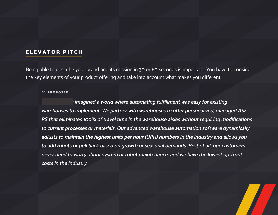#### ELEVATOR PITCH

Being able to describe your brand and its mission in 30 or 60 seconds is important. You have to consider the key elements of your product offering and take into account what makes you different.

#### // PROPOSED

**Inagined a world where automating fulfillment was easy for existing warehouses to implement. We partner with warehouses to offer personalized, managed AS/ RS that eliminates 100% of travel time in the warehouse aisles without requiring modifications to current processes or materials. Our advanced warehouse automation software dynamically adjusts to maintain the highest units per hour (UPH) numbers in the industry and allows you to add robots or pull back based on growth or seasonal demands. Best of all, our customers never need to worry about system or robot maintenance, and we have the lowest up-front costs in the industry.**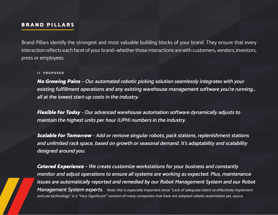#### BRAND PILLARS

Brand Pillars identify the strongest and most valuable building blocks of your brand. They ensure that every interaction reflects each facet of your brand—whether those interactions are with customers, vendors, investors, press or employees.

#### // PROPOSED

No Growing Pains **– Our automated robotic picking solution seamlessly integrates with your existing fulfillment operations and any existing warehouse management software you're running… all at the lowest start-up costs in the industry.**

Flexible for Today **- Our advanced warehouse automation software dynamically adjusts to maintain the highest units per hour (UPH) numbers in the industry.** 

Scalable for Tomorrow **- Add or remove singular robots, pack stations, replenishment stations and unlimited rack space, based on growth or seasonal demand. It's adaptability and scalability designed around you.**

Catered Experience **– We create customize workstations for your business and constantly monitor and adjust operations to ensure all systems are working as expected. Plus, maintenance issues are automatically reported and remedied by our Robot Management System and our Robot Management System experts. Note: this is especially important since "Lack of adequate talent to effectively implement and use technology" is a "Very Significant" concern of many companies that have not adopted robotic automation yet. source**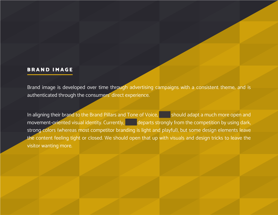#### BRAND IMAGE

Brand image is developed over time through advertising campaigns with a consistent theme, and is authenticated through the consumers' direct experience.

In aligning their brand to the Brand Pillars and Tone of Voice, Should adapt a much more open and movement-oriented visual identity. Currently, departs strongly from the competition by using dark, strong colors (whereas most competitor branding is light and playful), but some design elements leave the content feeling tight or closed. We should open that up with visuals and design tricks to leave the visitor wanting more.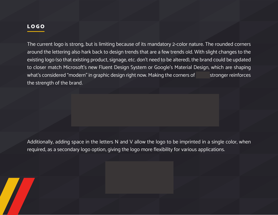### LOGO

The current logo is strong, but is limiting because of its mandatory 2-color nature. The rounded corners around the lettering also hark back to design trends that are a few trends old. With slight changes to the existing logo (so that existing product, signage, etc. don't need to be altered), the brand could be updated to closer match Microsoft's new Fluent Design System or Google's Material Design, which are shaping what's considered "modern" in graphic design right now. Making the corners of stronger reinforces the strength of the brand.

Additionally, adding space in the letters N and V allow the logo to be imprinted in a single color, when required, as a secondary logo option, giving the logo more flexibility for various applications.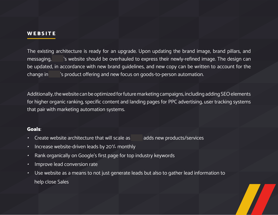#### **WEBSITE**

The existing architecture is ready for an upgrade. Upon updating the brand image, brand pillars, and messaging, in is website should be overhauled to express their newly-refined image. The design can be updated, in accordance with new brand guidelines, and new copy can be written to account for the change in invisory is product offering and new focus on goods-to-person automation.

Additionally, the website can be optimized for future marketing campaigns, including adding SEO elements for higher organic ranking, specific content and landing pages for PPC advertising, user tracking systems that pair with marketing automation systems.

#### Goals:

- Create website architecture that will scale as invia adds new products/services
- Increase website-driven leads by 20% monthly
- Rank organically on Google's first page for top industry keywords
- Improve lead conversion rate
- Use website as a means to not just generate leads but also to gather lead information to help close Sales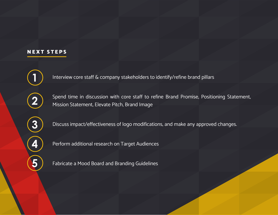### NEXT STEPS

**2**

**1**

Spend time in discussion with core staff to refine Brand Promise, Positioning Statement, Mission Statement, Elevate Pitch, Brand Image

**3**

**4**

**5**

Discuss impact/effectiveness of logo modifications, and make any approved changes.

Interview core staff & company stakeholders to identify/refine brand pillars

Perform additional research on Target Audiences

Fabricate a Mood Board and Branding Guidelines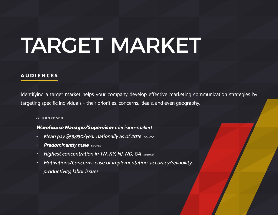## TARGET MARKET

#### AUDIENCES

Identifying a target market helps your company develop effective marketing communication strategies by targeting specific individuals – their priorities, concerns, ideals, and even geography.

#### // PROPOSED:

#### Warehouse Manager/Supervisor **(decision-maker)**

- **Mean pay \$53,930/year nationally as of 2016 source**
- **Predominantly male source**
- **Highest concentration in TN, KY, NJ, ND, GA source**
- **Motivations/Concerns: ease of implementation, accuracy/reliability, productivity, labor issues**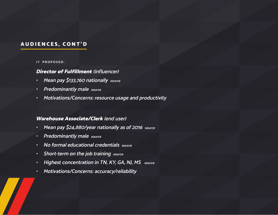### AUDIENCES, CONT'D

#### // PROPOSED:

#### Director of Fulfillment **(influencer)**

- **Mean pay \$133,760 nationally source**
- **Predominantly male source**
- **Motivations/Concerns: resource usage and productivity**

#### Warehouse Associate/Clerk **(end user)**

- **Mean pay \$24,880/year nationally as of 2016 source**
- **Predominantly male source**
- **No formal educational credentials source**
- **Short-term on the job training source**
- **Highest concentration in TN, KY, GA, NJ, MS source**
- **Motivations/Concerns: accuracy/reliability**

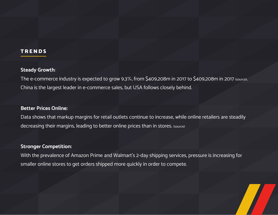#### TRENDS

#### **Steady Growth**:

The e-commerce industry is expected to grow 9.3%, from \$409,208m in 2017 to \$409,208m in 2017 (source). China is the largest leader in e-commerce sales, but USA follows closely behind.

#### **Better Prices Online:**

Data shows that markup margins for retail outlets continue to increase, while online retailers are steadily decreasing their margins, leading to better online prices than in stores. (source)

#### **Stronger Competition:**

With the prevalence of Amazon Prime and Walmart's 2-day shipping services, pressure is increasing for smaller online stores to get orders shipped more quickly in order to compete.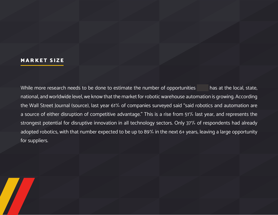#### MARKET SIZE

While more research needs to be done to estimate the number of opportunities has at the local, state, national, and worldwide level, we know that the market for robotic warehouse automation is growing. According the Wall Street Journal (source), last year 61% of companies surveyed said "said robotics and automation are a source of either disruption of competitive advantage." This is a rise from 51% last year, and represents the strongest potential for disruptive innovation in all technology sectors. Only 37% of respondents had already adopted robotics, with that number expected to be up to 89% in the next 6+ years, leaving a large opportunity for suppliers.

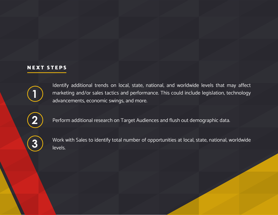#### NEXT STEPS



Identify additional trends on local, state, national, and worldwide levels that may affect marketing and/or sales tactics and performance. This could include legislation, technology advancements, economic swings, and more.

**2**

Perform additional research on Target Audiences and flush out demographic data.



Work with Sales to identify total number of opportunities at local, state, national, worldwide levels.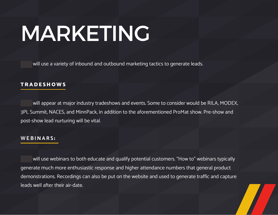# MARKETING

will use a variety of inbound and outbound marketing tactics to generate leads.

#### **TRADESHOWS**

will appear at major industry tradeshows and events. Some to consider would be RILA, MODEX, 3PL Summit, NACES, and MinnPack, in addition to the aforementioned ProMat show. Pre-show and post-show lead nurturing will be vital.

#### **WEBINARS** :

will use webinars to both educate and qualify potential customers. "How to" webinars typically generate much more enthusiastic response and higher attendance numbers that general product demonstrations. Recordings can also be put on the website and used to generate traffic and capture leads well after their air-date.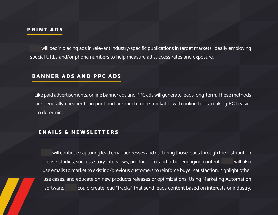#### PRINT ADS

will begin placing ads in relevant industry-specific publications in target markets, ideally employing special URLs and/or phone numbers to help measure ad success rates and exposure.

#### BANNER ADS AND PPC ADS

Like paid advertisements, online banner ads and PPC ads will generate leads long-term. These methods are generally cheaper than print and are much more trackable with online tools, making ROI easier to determine.

#### EMAILS & NEWSLETTERS

will continue capturing lead email addresses and nurturing those leads through the distribution of case studies, success story interviews, product info, and other engaging content. Will also use emails to market to existing/previous customers to reinforce buyer satisfaction, highlight other use cases, and educate on new products releases or optimizations. Using Marketing Automation software, could create lead "tracks" that send leads content based on interests or industry.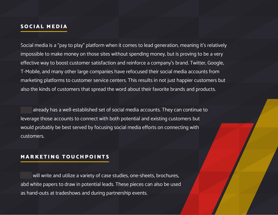#### SOCIAL MEDIA

Social media is a "pay to play" platform when it comes to lead generation, meaning it's relatively impossible to make money on those sites without spending money, but is proving to be a very effective way to boost customer satisfaction and reinforce a company's brand. Twitter, Google, T-Mobile, and many other large companies have refocused their social media accounts from marketing platforms to customer service centers. This results in not just happier customers but also the kinds of customers that spread the word about their favorite brands and products.

already has a well-established set of social media accounts. They can continue to leverage those accounts to connect with both potential and existing customers but would probably be best served by focusing social media efforts on connecting with customers.

#### MARKETING TOUCHPOINTS

will write and utilize a variety of case studies, one-sheets, brochures, abd white papers to draw in potential leads. These pieces can also be used as hand-outs at tradeshows and during partnership events.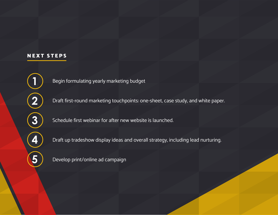#### NEXT STEPS

Begin formulating yearly marketing budget

Draft first-round marketing touchpoints: one-sheet, case study, and white paper.

Schedule first webinar for after new website is launched.

Draft up tradeshow display ideas and overall strategy, including lead nurturing.

Develop print/online ad campaign